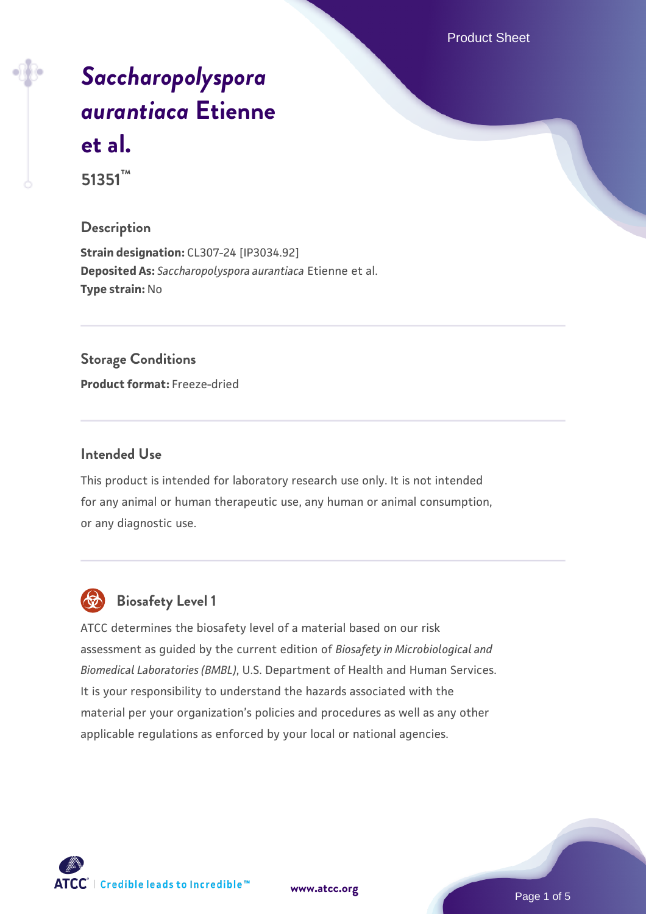Product Sheet

# *[Saccharopolyspora](https://www.atcc.org/products/51351) [aurantiaca](https://www.atcc.org/products/51351)* **[Etienne](https://www.atcc.org/products/51351) [et al.](https://www.atcc.org/products/51351) 51351™**

#### **Description**

**Strain designation:** CL307-24 [IP3034.92] **Deposited As:** *Saccharopolyspora aurantiaca* Etienne et al. **Type strain:** No

#### **Storage Conditions**

**Product format:** Freeze-dried

#### **Intended Use**

This product is intended for laboratory research use only. It is not intended for any animal or human therapeutic use, any human or animal consumption, or any diagnostic use.



### **Biosafety Level 1**

ATCC determines the biosafety level of a material based on our risk assessment as guided by the current edition of *Biosafety in Microbiological and Biomedical Laboratories (BMBL)*, U.S. Department of Health and Human Services. It is your responsibility to understand the hazards associated with the material per your organization's policies and procedures as well as any other applicable regulations as enforced by your local or national agencies.

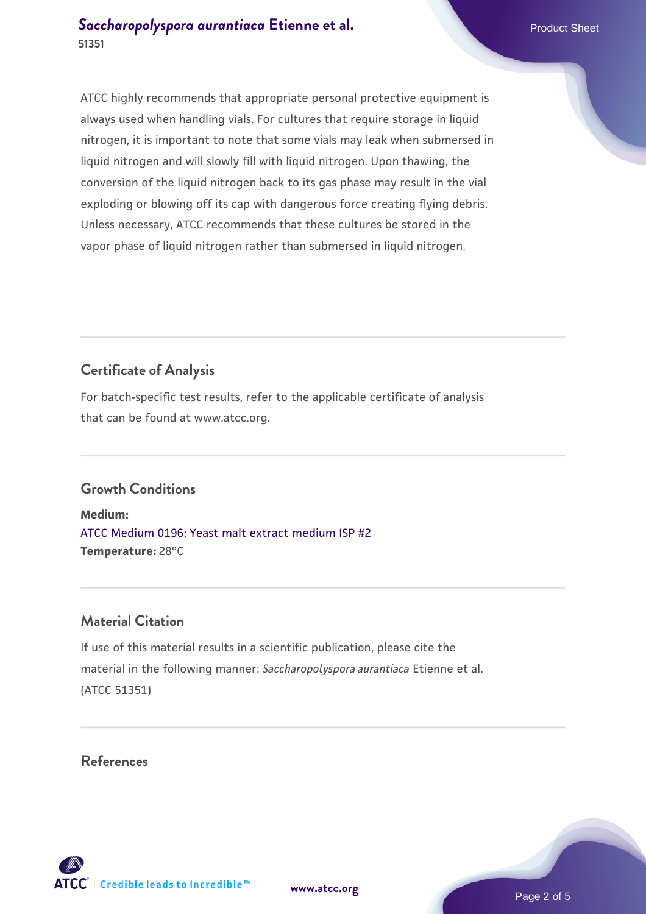ATCC highly recommends that appropriate personal protective equipment is always used when handling vials. For cultures that require storage in liquid nitrogen, it is important to note that some vials may leak when submersed in liquid nitrogen and will slowly fill with liquid nitrogen. Upon thawing, the conversion of the liquid nitrogen back to its gas phase may result in the vial exploding or blowing off its cap with dangerous force creating flying debris. Unless necessary, ATCC recommends that these cultures be stored in the vapor phase of liquid nitrogen rather than submersed in liquid nitrogen.

#### **Certificate of Analysis**

For batch-specific test results, refer to the applicable certificate of analysis that can be found at www.atcc.org.

#### **Growth Conditions**

**Medium:**  [ATCC Medium 0196: Yeast malt extract medium ISP #2](https://www.atcc.org/-/media/product-assets/documents/microbial-media-formulations/1/9/6/atcc-medium-0196.pdf?rev=3ab98ce3034f46208b34017336aa4c86) **Temperature:** 28°C

#### **Material Citation**

If use of this material results in a scientific publication, please cite the material in the following manner: *Saccharopolyspora aurantiaca* Etienne et al. (ATCC 51351)

#### **References**

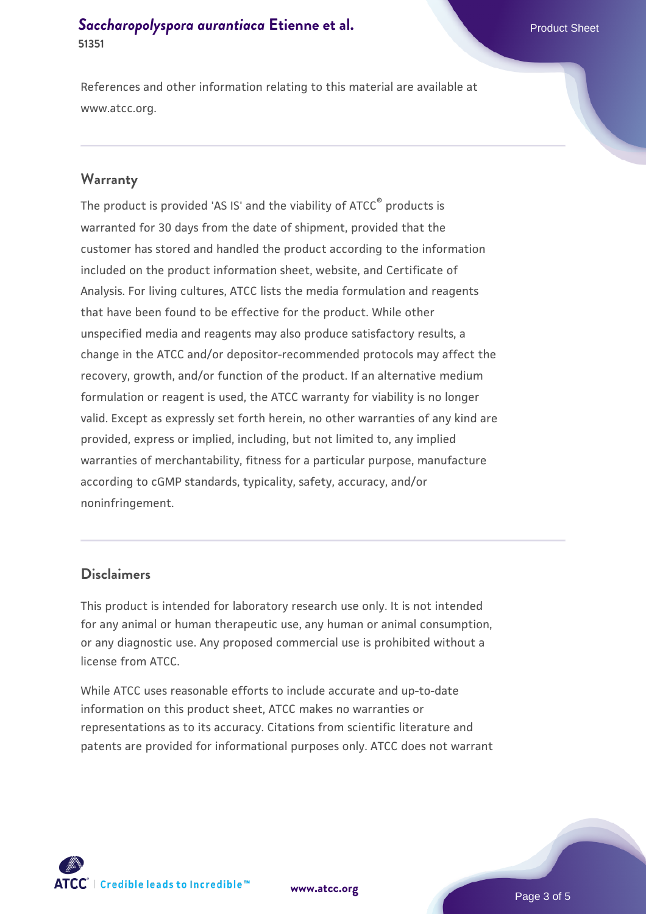#### **[Saccharopolyspora aurantiaca](https://www.atcc.org/products/51351) [Etienne et al.](https://www.atcc.org/products/51351)** Product Sheet **51351**

References and other information relating to this material are available at www.atcc.org.

#### **Warranty**

The product is provided 'AS IS' and the viability of ATCC® products is warranted for 30 days from the date of shipment, provided that the customer has stored and handled the product according to the information included on the product information sheet, website, and Certificate of Analysis. For living cultures, ATCC lists the media formulation and reagents that have been found to be effective for the product. While other unspecified media and reagents may also produce satisfactory results, a change in the ATCC and/or depositor-recommended protocols may affect the recovery, growth, and/or function of the product. If an alternative medium formulation or reagent is used, the ATCC warranty for viability is no longer valid. Except as expressly set forth herein, no other warranties of any kind are provided, express or implied, including, but not limited to, any implied warranties of merchantability, fitness for a particular purpose, manufacture according to cGMP standards, typicality, safety, accuracy, and/or noninfringement.

#### **Disclaimers**

This product is intended for laboratory research use only. It is not intended for any animal or human therapeutic use, any human or animal consumption, or any diagnostic use. Any proposed commercial use is prohibited without a license from ATCC.

While ATCC uses reasonable efforts to include accurate and up-to-date information on this product sheet, ATCC makes no warranties or representations as to its accuracy. Citations from scientific literature and patents are provided for informational purposes only. ATCC does not warrant





Page 3 of 5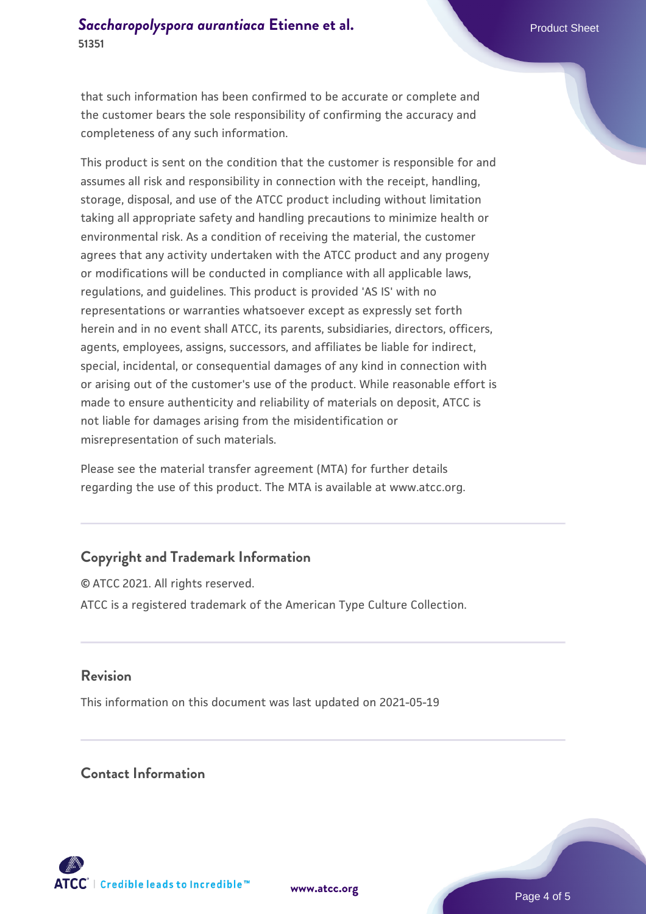that such information has been confirmed to be accurate or complete and the customer bears the sole responsibility of confirming the accuracy and completeness of any such information.

This product is sent on the condition that the customer is responsible for and assumes all risk and responsibility in connection with the receipt, handling, storage, disposal, and use of the ATCC product including without limitation taking all appropriate safety and handling precautions to minimize health or environmental risk. As a condition of receiving the material, the customer agrees that any activity undertaken with the ATCC product and any progeny or modifications will be conducted in compliance with all applicable laws, regulations, and guidelines. This product is provided 'AS IS' with no representations or warranties whatsoever except as expressly set forth herein and in no event shall ATCC, its parents, subsidiaries, directors, officers, agents, employees, assigns, successors, and affiliates be liable for indirect, special, incidental, or consequential damages of any kind in connection with or arising out of the customer's use of the product. While reasonable effort is made to ensure authenticity and reliability of materials on deposit, ATCC is not liable for damages arising from the misidentification or misrepresentation of such materials.

Please see the material transfer agreement (MTA) for further details regarding the use of this product. The MTA is available at www.atcc.org.

#### **Copyright and Trademark Information**

© ATCC 2021. All rights reserved. ATCC is a registered trademark of the American Type Culture Collection.

#### **Revision**

This information on this document was last updated on 2021-05-19

#### **Contact Information**



**[www.atcc.org](http://www.atcc.org)**